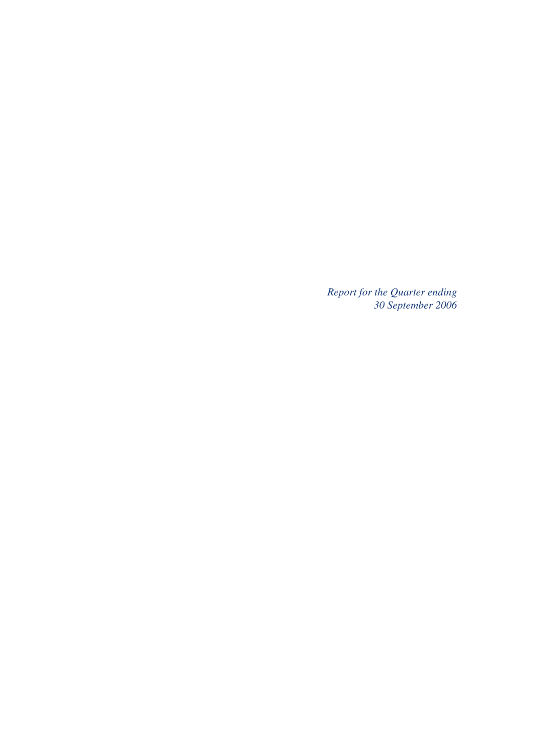*Report for the Quarter ending 30 September 2006*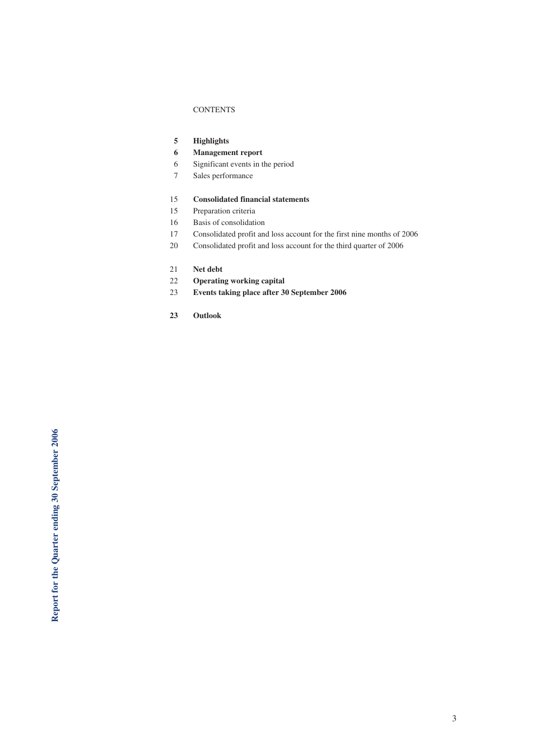#### **CONTENTS**

- **5 Highlights**
- **6 Management report**
- 6 Significant events in the period
- 7 Sales performance

#### 15 **Consolidated financial statements**

- 15 Preparation criteria
- 16 Basis of consolidation
- 17 Consolidated profit and loss account for the first nine months of 2006
- 20 Consolidated profit and loss account for the third quarter of 2006
- 21 **Net debt**
- 22 **Operating working capital**
- 23 **Events taking place after 30 September 2006**
- **23 Outlook**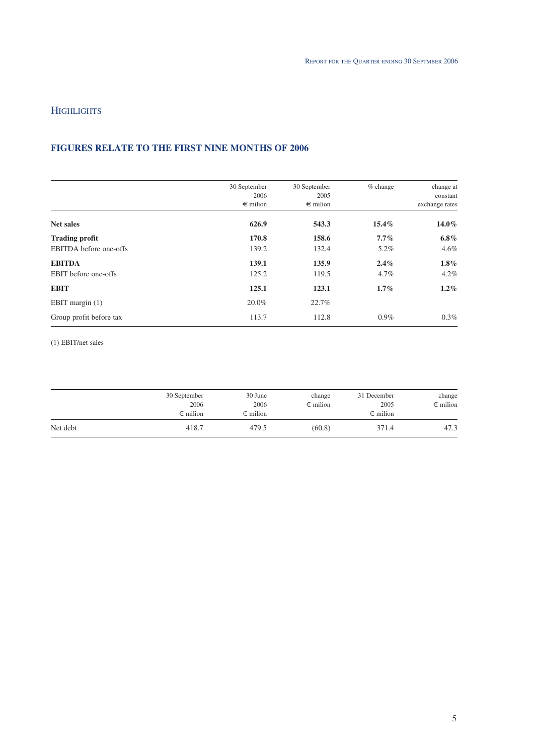# **HIGHLIGHTS**

# **FIGURES RELATE TO THE FIRST NINE MONTHS OF 2006**

|                         | 30 September<br>2006<br>$\epsilon$ milion | 30 September<br>2005<br>$\epsilon$ milion | $%$ change | change at<br>constant<br>exchange rates |
|-------------------------|-------------------------------------------|-------------------------------------------|------------|-----------------------------------------|
| <b>Net sales</b>        | 626.9                                     | 543.3                                     | $15.4\%$   | $14.0\%$                                |
| <b>Trading profit</b>   | 170.8                                     | 158.6                                     | $7.7\%$    | $6.8\%$                                 |
| EBITDA before one-offs  | 139.2                                     | 132.4                                     | 5.2%       | $4.6\%$                                 |
| <b>EBITDA</b>           | 139.1                                     | 135.9                                     | 2.4%       | $1.8\%$                                 |
| EBIT before one-offs    | 125.2                                     | 119.5                                     | $4.7\%$    | 4.2%                                    |
| <b>EBIT</b>             | 125.1                                     | 123.1                                     | $1.7\%$    | $1.2\%$                                 |
| EBIT margin $(1)$       | 20.0%                                     | 22.7%                                     |            |                                         |
| Group profit before tax | 113.7                                     | 112.8                                     | $0.9\%$    | $0.3\%$                                 |

(1) EBIT/net sales

|          | 30 September      | 30 June           | change            | 31 December       | change            |
|----------|-------------------|-------------------|-------------------|-------------------|-------------------|
|          | 2006              | 2006              | $\epsilon$ milion | 2005              | $\epsilon$ milion |
|          | $\epsilon$ milion | $\epsilon$ milion |                   | $\epsilon$ milion |                   |
| Net debt | 418.7             | 479.5             | (60.8)            | 371.4             | 47.3              |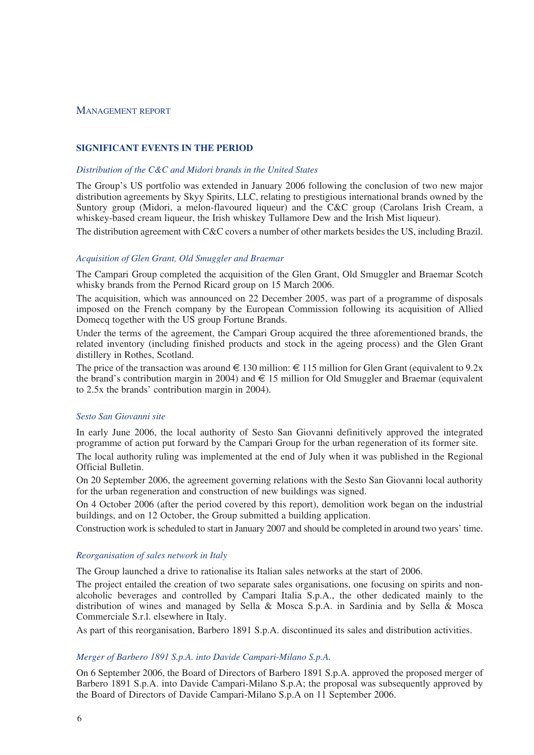#### MANAGEMENT REPORT

### **SIGNIFICANT EVENTS IN THE PERIOD**

#### *Distribution of the C&C and Midori brands in the United States*

The Group's US portfolio was extended in January 2006 following the conclusion of two new major distribution agreements by Skyy Spirits, LLC, relating to prestigious international brands owned by the Suntory group (Midori, a melon-flavoured liqueur) and the C&C group (Carolans Irish Cream, a whiskey-based cream liqueur, the Irish whiskey Tullamore Dew and the Irish Mist liqueur).

The distribution agreement with C&C covers a number of other markets besides the US, including Brazil.

#### *Acquisition of Glen Grant, Old Smuggler and Braemar*

The Campari Group completed the acquisition of the Glen Grant, Old Smuggler and Braemar Scotch whisky brands from the Pernod Ricard group on 15 March 2006.

The acquisition, which was announced on 22 December 2005, was part of a programme of disposals imposed on the French company by the European Commission following its acquisition of Allied Domecq together with the US group Fortune Brands.

Under the terms of the agreement, the Campari Group acquired the three aforementioned brands, the related inventory (including finished products and stock in the ageing process) and the Glen Grant distillery in Rothes, Scotland.

The price of the transaction was around  $\in$  130 million:  $\in$  115 million for Glen Grant (equivalent to 9.2x the brand's contribution margin in 2004) and  $\epsilon$  15 million for Old Smuggler and Braemar (equivalent to 2.5x the brands' contribution margin in 2004).

# *Sesto San Giovanni site*

In early June 2006, the local authority of Sesto San Giovanni definitively approved the integrated programme of action put forward by the Campari Group for the urban regeneration of its former site.

The local authority ruling was implemented at the end of July when it was published in the Regional Official Bulletin.

On 20 September 2006, the agreement governing relations with the Sesto San Giovanni local authority for the urban regeneration and construction of new buildings was signed.

On 4 October 2006 (after the period covered by this report), demolition work began on the industrial buildings, and on 12 October, the Group submitted a building application.

Construction work is scheduled to start in January 2007 and should be completed in around two years' time.

#### *Reorganisation of sales network in Italy*

The Group launched a drive to rationalise its Italian sales networks at the start of 2006.

The project entailed the creation of two separate sales organisations, one focusing on spirits and nonalcoholic beverages and controlled by Campari Italia S.p.A., the other dedicated mainly to the distribution of wines and managed by Sella & Mosca S.p.A. in Sardinia and by Sella & Mosca Commerciale S.r.l. elsewhere in Italy.

As part of this reorganisation, Barbero 1891 S.p.A. discontinued its sales and distribution activities.

#### *Merger of Barbero 1891 S.p.A. into Davide Campari-Milano S.p.A.*

On 6 September 2006, the Board of Directors of Barbero 1891 S.p.A. approved the proposed merger of Barbero 1891 S.p.A. into Davide Campari-Milano S.p.A; the proposal was subsequently approved by the Board of Directors of Davide Campari-Milano S.p.A on 11 September 2006.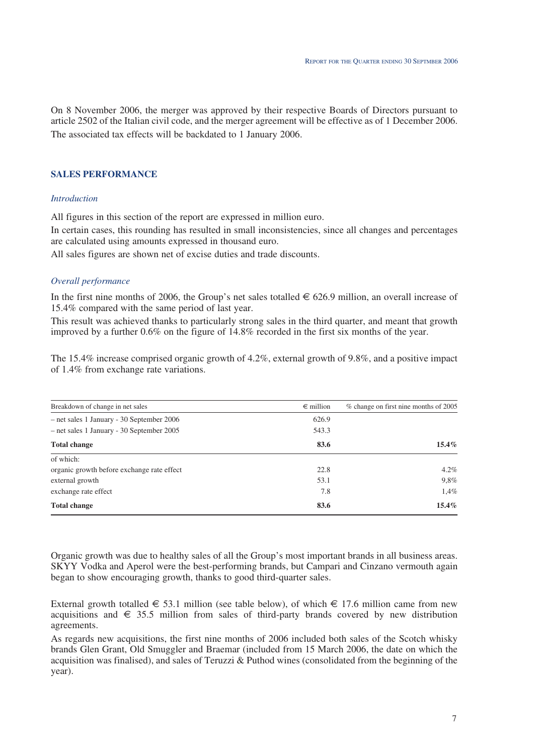On 8 November 2006, the merger was approved by their respective Boards of Directors pursuant to article 2502 of the Italian civil code, and the merger agreement will be effective as of 1 December 2006. The associated tax effects will be backdated to 1 January 2006.

# **SALES PERFORMANCE**

#### *Introduction*

All figures in this section of the report are expressed in million euro.

In certain cases, this rounding has resulted in small inconsistencies, since all changes and percentages are calculated using amounts expressed in thousand euro.

All sales figures are shown net of excise duties and trade discounts.

#### *Overall performance*

In the first nine months of 2006, the Group's net sales totalled  $\in$  626.9 million, an overall increase of 15.4% compared with the same period of last year.

This result was achieved thanks to particularly strong sales in the third quarter, and meant that growth improved by a further 0.6% on the figure of 14.8% recorded in the first six months of the year.

The 15.4% increase comprised organic growth of 4.2%, external growth of 9.8%, and a positive impact of 1.4% from exchange rate variations.

| Breakdown of change in net sales           | $\epsilon$ million | % change on first nine months of 2005 |
|--------------------------------------------|--------------------|---------------------------------------|
| - net sales 1 January - 30 September 2006  | 626.9              |                                       |
| - net sales 1 January - 30 September 2005  | 543.3              |                                       |
| <b>Total change</b>                        | 83.6               | $15.4\%$                              |
| of which:                                  |                    |                                       |
| organic growth before exchange rate effect | 22.8               | $4.2\%$                               |
| external growth                            | 53.1               | 9,8%                                  |
| exchange rate effect                       | 7.8                | 1,4%                                  |
| <b>Total change</b>                        | 83.6               | $15.4\%$                              |

Organic growth was due to healthy sales of all the Group's most important brands in all business areas. SKYY Vodka and Aperol were the best-performing brands, but Campari and Cinzano vermouth again began to show encouraging growth, thanks to good third-quarter sales.

External growth totalled  $\in$  53.1 million (see table below), of which  $\in$  17.6 million came from new acquisitions and  $\epsilon$  35.5 million from sales of third-party brands covered by new distribution agreements.

As regards new acquisitions, the first nine months of 2006 included both sales of the Scotch whisky brands Glen Grant, Old Smuggler and Braemar (included from 15 March 2006, the date on which the acquisition was finalised), and sales of Teruzzi & Puthod wines (consolidated from the beginning of the year).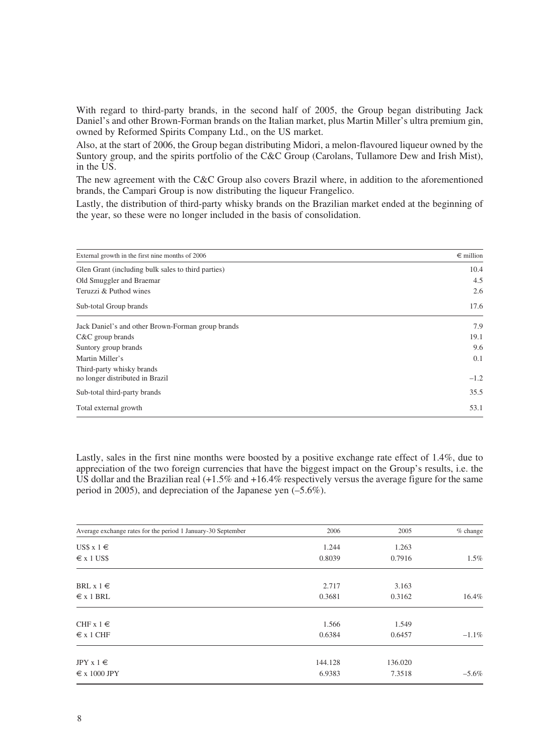With regard to third-party brands, in the second half of 2005, the Group began distributing Jack Daniel's and other Brown-Forman brands on the Italian market, plus Martin Miller's ultra premium gin, owned by Reformed Spirits Company Ltd., on the US market.

Also, at the start of 2006, the Group began distributing Midori, a melon-flavoured liqueur owned by the Suntory group, and the spirits portfolio of the C&C Group (Carolans, Tullamore Dew and Irish Mist), in the US.

The new agreement with the C&C Group also covers Brazil where, in addition to the aforementioned brands, the Campari Group is now distributing the liqueur Frangelico.

Lastly, the distribution of third-party whisky brands on the Brazilian market ended at the beginning of the year, so these were no longer included in the basis of consolidation.

| External growth in the first nine months of 2006             | $\epsilon$ million |
|--------------------------------------------------------------|--------------------|
| Glen Grant (including bulk sales to third parties)           | 10.4               |
| Old Smuggler and Braemar                                     | 4.5                |
| Teruzzi & Puthod wines                                       | 2.6                |
| Sub-total Group brands                                       | 17.6               |
| Jack Daniel's and other Brown-Forman group brands            | 7.9                |
| $C&C$ group brands                                           | 19.1               |
| Suntory group brands                                         | 9.6                |
| Martin Miller's                                              | 0.1                |
| Third-party whisky brands<br>no longer distributed in Brazil | $-1.2$             |
| Sub-total third-party brands                                 | 35.5               |
| Total external growth                                        | 53.1               |

Lastly, sales in the first nine months were boosted by a positive exchange rate effect of 1.4%, due to appreciation of the two foreign currencies that have the biggest impact on the Group's results, i.e. the US dollar and the Brazilian real (+1.5% and +16.4% respectively versus the average figure for the same period in 2005), and depreciation of the Japanese yen (–5.6%).

| Average exchange rates for the period 1 January-30 September | 2006    | 2005    | $%$ change |
|--------------------------------------------------------------|---------|---------|------------|
| US\$ $x 1 \in$                                               | 1.244   | 1.263   |            |
| $\epsilon$ x 1 US\$                                          | 0.8039  | 0.7916  | 1.5%       |
| BRL $x 1 \in$                                                | 2.717   | 3.163   |            |
| $\epsilon$ x 1 BRL                                           | 0.3681  | 0.3162  | 16.4%      |
| CHF $x 1 \in$                                                | 1.566   | 1.549   |            |
| $\epsilon$ x 1 CHF                                           | 0.6384  | 0.6457  | $-1.1\%$   |
| JPY $x 1 \in$                                                | 144.128 | 136.020 |            |
| $\epsilon$ x 1000 JPY                                        | 6.9383  | 7.3518  | $-5.6\%$   |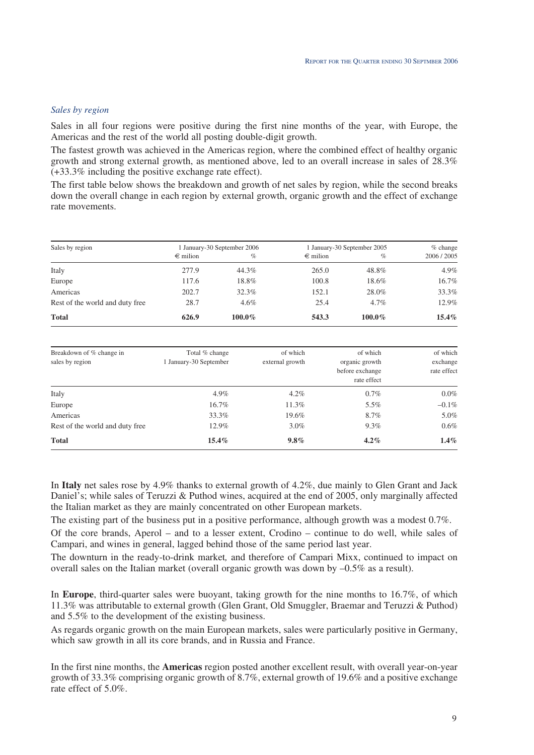### *Sales by region*

Sales in all four regions were positive during the first nine months of the year, with Europe, the Americas and the rest of the world all posting double-digit growth.

The fastest growth was achieved in the Americas region, where the combined effect of healthy organic growth and strong external growth, as mentioned above, led to an overall increase in sales of 28.3% (+33.3% including the positive exchange rate effect).

The first table below shows the breakdown and growth of net sales by region, while the second breaks down the overall change in each region by external growth, organic growth and the effect of exchange rate movements.

| Sales by region                 |                   | 1 January-30 September 2006 |                   | 1 January-30 September 2005 |           |
|---------------------------------|-------------------|-----------------------------|-------------------|-----------------------------|-----------|
|                                 | $\epsilon$ milion | $\%$                        | $\epsilon$ milion | $\%$                        | 2006/2005 |
| Italy                           | 277.9             | 44.3%                       | 265.0             | 48.8%                       | 4.9%      |
| Europe                          | 117.6             | 18.8%                       | 100.8             | 18.6%                       | 16.7%     |
| Americas                        | 202.7             | 32.3%                       | 152.1             | 28.0%                       | 33.3%     |
| Rest of the world and duty free | 28.7              | $4.6\%$                     | 25.4              | $4.7\%$                     | 12.9%     |
| <b>Total</b>                    | 626.9             | 100.0%                      | 543.3             | 100.0%                      | $15.4\%$  |

| Breakdown of % change in<br>sales by region | Total % change<br>1 January-30 September | of which<br>external growth | of which<br>organic growth<br>before exchange<br>rate effect | of which<br>exchange<br>rate effect |
|---------------------------------------------|------------------------------------------|-----------------------------|--------------------------------------------------------------|-------------------------------------|
| Italy                                       | $4.9\%$                                  | $4.2\%$                     | $0.7\%$                                                      | $0.0\%$                             |
| Europe                                      | 16.7%                                    | 11.3%                       | $5.5\%$                                                      | $-0.1\%$                            |
| Americas                                    | 33.3%                                    | 19.6%                       | 8.7%                                                         | 5.0%                                |
| Rest of the world and duty free             | 12.9%                                    | $3.0\%$                     | $9.3\%$                                                      | 0.6%                                |
| <b>Total</b>                                | $15.4\%$                                 | $9.8\%$                     | $4.2\%$                                                      | $1.4\%$                             |

In **Italy** net sales rose by 4.9% thanks to external growth of 4.2%, due mainly to Glen Grant and Jack Daniel's; while sales of Teruzzi & Puthod wines, acquired at the end of 2005, only marginally affected the Italian market as they are mainly concentrated on other European markets.

The existing part of the business put in a positive performance, although growth was a modest 0.7%.

Of the core brands, Aperol – and to a lesser extent, Crodino – continue to do well, while sales of Campari, and wines in general, lagged behind those of the same period last year.

The downturn in the ready-to-drink market*,* and therefore of Campari Mixx, continued to impact on overall sales on the Italian market (overall organic growth was down by  $-0.5\%$  as a result).

In **Europe**, third-quarter sales were buoyant, taking growth for the nine months to 16.7%, of which 11.3% was attributable to external growth (Glen Grant, Old Smuggler, Braemar and Teruzzi & Puthod) and 5.5% to the development of the existing business.

As regards organic growth on the main European markets, sales were particularly positive in Germany, which saw growth in all its core brands, and in Russia and France.

In the first nine months, the **Americas** region posted another excellent result, with overall year-on-year growth of 33.3% comprising organic growth of 8.7%, external growth of 19.6% and a positive exchange rate effect of 5.0%.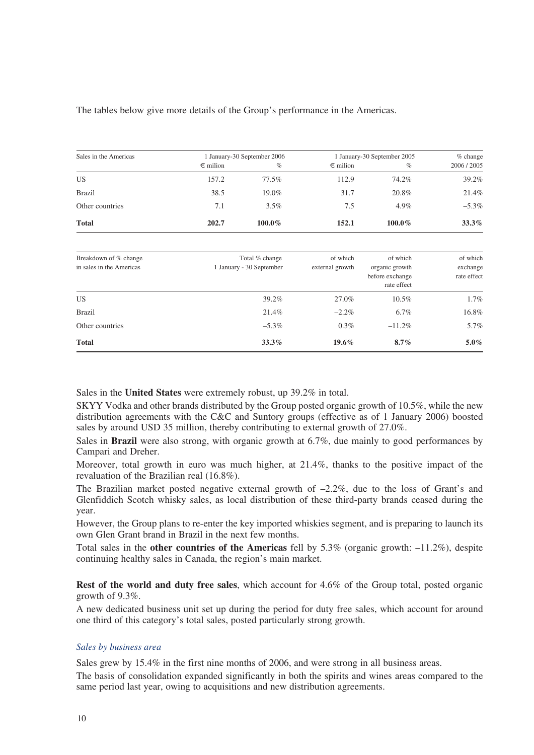# The tables below give more details of the Group's performance in the Americas.

| Sales in the Americas |                   | 1 January-30 September 2006 |                   | 1 January-30 September 2005 |           |
|-----------------------|-------------------|-----------------------------|-------------------|-----------------------------|-----------|
|                       | $\epsilon$ milion | $\%$                        | $\epsilon$ milion | $\%$                        | 2006/2005 |
| US                    | 157.2             | 77.5%                       | 112.9             | 74.2%                       | 39.2%     |
| <b>Brazil</b>         | 38.5              | 19.0%                       | 31.7              | 20.8%                       | 21.4%     |
| Other countries       | 7.1               | $3.5\%$                     | 7.5               | $4.9\%$                     | $-5.3\%$  |
| <b>Total</b>          | 202.7             | $100.0\%$                   | 152.1             | $100.0\%$                   | $33.3\%$  |

| Breakdown of % change<br>in sales in the Americas | Total % change<br>1 January - 30 September | of which<br>external growth | of which<br>organic growth<br>before exchange<br>rate effect | of which<br>exchange<br>rate effect |
|---------------------------------------------------|--------------------------------------------|-----------------------------|--------------------------------------------------------------|-------------------------------------|
| US.                                               | 39.2%                                      | 27.0%                       | $10.5\%$                                                     | $1.7\%$                             |
| <b>Brazil</b>                                     | 21.4%                                      | $-2.2\%$                    | $6.7\%$                                                      | 16.8%                               |
| Other countries                                   | $-5.3\%$                                   | $0.3\%$                     | $-11.2\%$                                                    | 5.7%                                |
| <b>Total</b>                                      | $33.3\%$                                   | $19.6\%$                    | $8.7\%$                                                      | $5.0\%$                             |

Sales in the **United States** were extremely robust, up 39.2% in total.

SKYY Vodka and other brands distributed by the Group posted organic growth of 10.5%, while the new distribution agreements with the C&C and Suntory groups (effective as of 1 January 2006) boosted sales by around USD 35 million, thereby contributing to external growth of 27.0%.

Sales in **Brazil** were also strong, with organic growth at 6.7%, due mainly to good performances by Campari and Dreher.

Moreover, total growth in euro was much higher, at 21.4%, thanks to the positive impact of the revaluation of the Brazilian real (16.8%).

The Brazilian market posted negative external growth of –2.2%, due to the loss of Grant's and Glenfiddich Scotch whisky sales, as local distribution of these third-party brands ceased during the year.

However, the Group plans to re-enter the key imported whiskies segment, and is preparing to launch its own Glen Grant brand in Brazil in the next few months.

Total sales in the **other countries of the Americas** fell by 5.3% (organic growth: –11.2%), despite continuing healthy sales in Canada, the region's main market.

**Rest of the world and duty free sales**, which account for 4.6% of the Group total, posted organic growth of 9.3%.

A new dedicated business unit set up during the period for duty free sales, which account for around one third of this category's total sales, posted particularly strong growth.

#### *Sales by business area*

Sales grew by 15.4% in the first nine months of 2006, and were strong in all business areas.

The basis of consolidation expanded significantly in both the spirits and wines areas compared to the same period last year, owing to acquisitions and new distribution agreements.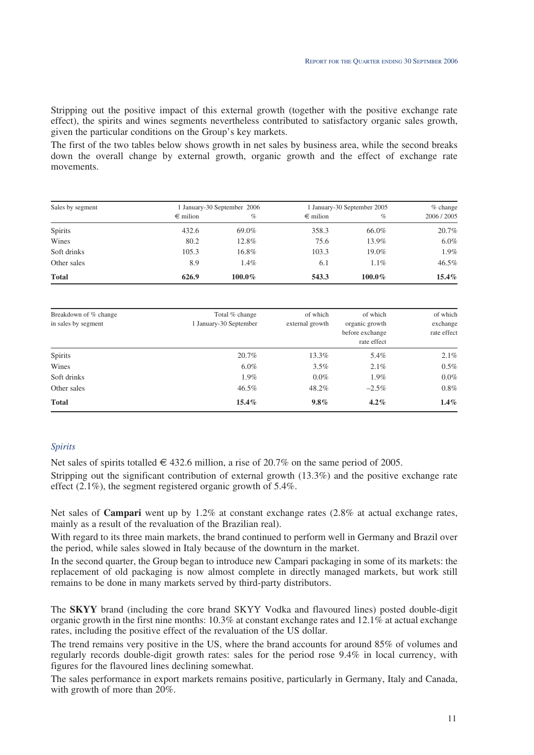Stripping out the positive impact of this external growth (together with the positive exchange rate effect), the spirits and wines segments nevertheless contributed to satisfactory organic sales growth, given the particular conditions on the Group's key markets.

The first of the two tables below shows growth in net sales by business area, while the second breaks down the overall change by external growth, organic growth and the effect of exchange rate movements.

| Sales by segment |                   | 1 January-30 September 2006 |                   | 1 January-30 September 2005 |           |
|------------------|-------------------|-----------------------------|-------------------|-----------------------------|-----------|
|                  | $\epsilon$ milion | $\%$                        | $\epsilon$ milion | $\%$                        | 2006/2005 |
| <b>Spirits</b>   | 432.6             | 69.0%                       | 358.3             | 66.0%                       | 20.7%     |
| Wines            | 80.2              | 12.8%                       | 75.6              | 13.9%                       | $6.0\%$   |
| Soft drinks      | 105.3             | 16.8%                       | 103.3             | 19.0%                       | 1.9%      |
| Other sales      | 8.9               | $1.4\%$                     | 6.1               | $1.1\%$                     | $46.5\%$  |
| <b>Total</b>     | 626.9             | $100.0\%$                   | 543.3             | $100.0\%$                   | $15.4\%$  |

| Breakdown of % change | Total % change         | of which        | of which                                         | of which                |
|-----------------------|------------------------|-----------------|--------------------------------------------------|-------------------------|
| in sales by segment   | 1 January-30 September | external growth | organic growth<br>before exchange<br>rate effect | exchange<br>rate effect |
| <b>Spirits</b>        | 20.7%                  | 13.3%           | 5.4%                                             | 2.1%                    |
| Wines                 | $6.0\%$                | 3.5%            | $2.1\%$                                          | 0.5%                    |
| Soft drinks           | 1.9%                   | $0.0\%$         | 1.9%                                             | $0.0\%$                 |
| Other sales           | 46.5%                  | 48.2%           | $-2.5\%$                                         | 0.8%                    |
| <b>Total</b>          | $15.4\%$               | $9.8\%$         | $4.2\%$                                          | $1.4\%$                 |

# *Spirits*

Net sales of spirits totalled  $\in$  432.6 million, a rise of 20.7% on the same period of 2005.

Stripping out the significant contribution of external growth (13.3%) and the positive exchange rate effect  $(2.1\%)$ , the segment registered organic growth of 5.4%.

Net sales of **Campari** went up by 1.2% at constant exchange rates (2.8% at actual exchange rates, mainly as a result of the revaluation of the Brazilian real).

With regard to its three main markets, the brand continued to perform well in Germany and Brazil over the period, while sales slowed in Italy because of the downturn in the market.

In the second quarter, the Group began to introduce new Campari packaging in some of its markets: the replacement of old packaging is now almost complete in directly managed markets, but work still remains to be done in many markets served by third-party distributors.

The **SKYY** brand (including the core brand SKYY Vodka and flavoured lines) posted double-digit organic growth in the first nine months: 10.3% at constant exchange rates and 12.1% at actual exchange rates, including the positive effect of the revaluation of the US dollar.

The trend remains very positive in the US, where the brand accounts for around 85% of volumes and regularly records double-digit growth rates: sales for the period rose 9.4% in local currency, with figures for the flavoured lines declining somewhat.

The sales performance in export markets remains positive, particularly in Germany, Italy and Canada, with growth of more than 20%.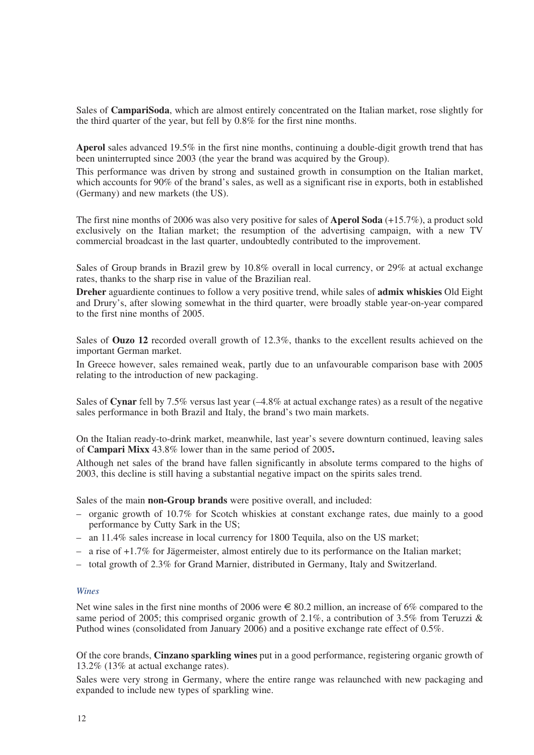Sales of **CampariSoda**, which are almost entirely concentrated on the Italian market, rose slightly for the third quarter of the year, but fell by 0.8% for the first nine months.

**Aperol** sales advanced 19.5% in the first nine months, continuing a double-digit growth trend that has been uninterrupted since 2003 (the year the brand was acquired by the Group).

This performance was driven by strong and sustained growth in consumption on the Italian market, which accounts for 90% of the brand's sales, as well as a significant rise in exports, both in established (Germany) and new markets (the US).

The first nine months of 2006 was also very positive for sales of **Aperol Soda** (+15.7%), a product sold exclusively on the Italian market; the resumption of the advertising campaign, with a new TV commercial broadcast in the last quarter, undoubtedly contributed to the improvement.

Sales of Group brands in Brazil grew by 10.8% overall in local currency, or 29% at actual exchange rates, thanks to the sharp rise in value of the Brazilian real.

**Dreher** aguardiente continues to follow a very positive trend, while sales of **admix whiskies** Old Eight and Drury's, after slowing somewhat in the third quarter, were broadly stable year-on-year compared to the first nine months of 2005.

Sales of **Ouzo 12** recorded overall growth of 12.3%, thanks to the excellent results achieved on the important German market.

In Greece however, sales remained weak, partly due to an unfavourable comparison base with 2005 relating to the introduction of new packaging.

Sales of **Cynar** fell by 7.5% versus last year (–4.8% at actual exchange rates) as a result of the negative sales performance in both Brazil and Italy, the brand's two main markets.

On the Italian ready-to-drink market, meanwhile, last year's severe downturn continued, leaving sales of **Campari Mixx** 43.8% lower than in the same period of 2005**.**

Although net sales of the brand have fallen significantly in absolute terms compared to the highs of 2003, this decline is still having a substantial negative impact on the spirits sales trend.

Sales of the main **non-Group brands** were positive overall, and included:

- organic growth of 10.7% for Scotch whiskies at constant exchange rates, due mainly to a good performance by Cutty Sark in the US;
- an 11.4% sales increase in local currency for 1800 Tequila, also on the US market;
- a rise of +1.7% for Jägermeister, almost entirely due to its performance on the Italian market;
- total growth of 2.3% for Grand Marnier, distributed in Germany, Italy and Switzerland.

#### *Wines*

Net wine sales in the first nine months of 2006 were  $\epsilon$  80.2 million, an increase of 6% compared to the same period of 2005; this comprised organic growth of 2.1%, a contribution of 3.5% from Teruzzi & Puthod wines (consolidated from January 2006) and a positive exchange rate effect of 0.5%.

Of the core brands, **Cinzano sparkling wines** put in a good performance, registering organic growth of 13.2% (13% at actual exchange rates).

Sales were very strong in Germany, where the entire range was relaunched with new packaging and expanded to include new types of sparkling wine.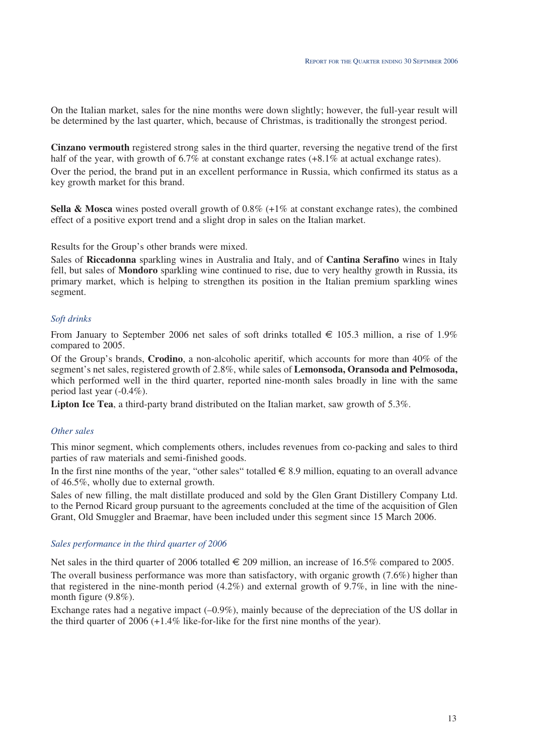On the Italian market, sales for the nine months were down slightly; however, the full-year result will be determined by the last quarter, which, because of Christmas, is traditionally the strongest period.

**Cinzano vermouth** registered strong sales in the third quarter, reversing the negative trend of the first half of the year, with growth of  $6.7\%$  at constant exchange rates  $(+8.1\%$  at actual exchange rates).

Over the period, the brand put in an excellent performance in Russia, which confirmed its status as a key growth market for this brand.

**Sella & Mosca** wines posted overall growth of 0.8% (+1% at constant exchange rates), the combined effect of a positive export trend and a slight drop in sales on the Italian market.

Results for the Group's other brands were mixed.

Sales of **Riccadonna** sparkling wines in Australia and Italy, and of **Cantina Serafino** wines in Italy fell, but sales of **Mondoro** sparkling wine continued to rise, due to very healthy growth in Russia, its primary market, which is helping to strengthen its position in the Italian premium sparkling wines segment.

### *Soft drinks*

From January to September 2006 net sales of soft drinks totalled  $\in$  105.3 million, a rise of 1.9% compared to 2005.

Of the Group's brands, **Crodino**, a non-alcoholic aperitif, which accounts for more than 40% of the segment's net sales, registered growth of 2.8%, while sales of **Lemonsoda, Oransoda and Pelmosoda,** which performed well in the third quarter, reported nine-month sales broadly in line with the same period last year (-0.4%).

**Lipton Ice Tea**, a third-party brand distributed on the Italian market, saw growth of 5.3%.

### *Other sales*

This minor segment, which complements others, includes revenues from co-packing and sales to third parties of raw materials and semi-finished goods.

In the first nine months of the year, "other sales" totalled  $\in$  8.9 million, equating to an overall advance of 46.5%, wholly due to external growth.

Sales of new filling, the malt distillate produced and sold by the Glen Grant Distillery Company Ltd. to the Pernod Ricard group pursuant to the agreements concluded at the time of the acquisition of Glen Grant, Old Smuggler and Braemar, have been included under this segment since 15 March 2006.

#### *Sales performance in the third quarter of 2006*

Net sales in the third quarter of 2006 totalled  $\in$  209 million, an increase of 16.5% compared to 2005.

The overall business performance was more than satisfactory, with organic growth (7.6%) higher than that registered in the nine-month period  $(4.2\%)$  and external growth of  $9.7\%$ , in line with the ninemonth figure (9.8%).

Exchange rates had a negative impact (–0.9%), mainly because of the depreciation of the US dollar in the third quarter of 2006 (+1.4% like-for-like for the first nine months of the year).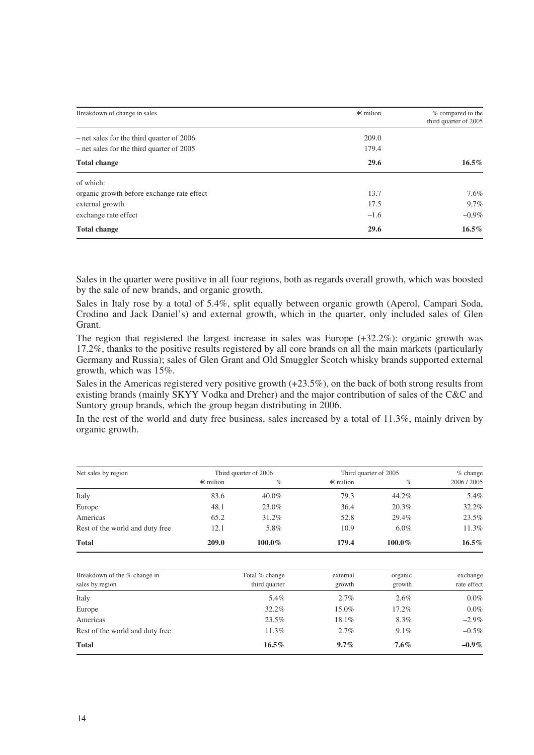| Breakdown of change in sales                | $\epsilon$ milion | % compared to the<br>third quarter of 2005 |
|---------------------------------------------|-------------------|--------------------------------------------|
| – net sales for the third quarter of 2006   | 209.0             |                                            |
| $-$ net sales for the third quarter of 2005 | 179.4             |                                            |
| <b>Total change</b>                         | 29.6              | $16.5\%$                                   |
| of which:                                   |                   |                                            |
| organic growth before exchange rate effect  | 13.7              | 7.6%                                       |
| external growth                             | 17.5              | 9,7%                                       |
| exchange rate effect                        | $-1.6$            | $-0.9\%$                                   |
| <b>Total change</b>                         | 29.6              | $16.5\%$                                   |

Sales in the quarter were positive in all four regions, both as regards overall growth, which was boosted by the sale of new brands, and organic growth.

Sales in Italy rose by a total of 5.4%, split equally between organic growth (Aperol, Campari Soda, Crodino and Jack Daniel's) and external growth, which in the quarter, only included sales of Glen Grant.

The region that registered the largest increase in sales was Europe (+32.2%): organic growth was 17.2%, thanks to the positive results registered by all core brands on all the main markets (particularly Germany and Russia); sales of Glen Grant and Old Smuggler Scotch whisky brands supported external growth, which was 15%.

Sales in the Americas registered very positive growth (+23.5%), on the back of both strong results from existing brands (mainly SKYY Vodka and Dreher) and the major contribution of sales of the C&C and Suntory group brands, which the group began distributing in 2006.

In the rest of the world and duty free business, sales increased by a total of 11.3%, mainly driven by organic growth.

| Net sales by region             | Third quarter of 2006 |           | Third quarter of 2005 |           | $%$ change  |  |
|---------------------------------|-----------------------|-----------|-----------------------|-----------|-------------|--|
|                                 | $\epsilon$ milion     | $\%$      | $\epsilon$ milion     | $\%$      | 2006 / 2005 |  |
| Italy                           | 83.6                  | $40.0\%$  | 79.3                  | 44.2%     | 5.4%        |  |
| Europe                          | 48.1                  | 23.0%     | 36.4                  | 20.3%     | 32.2%       |  |
| Americas                        | 65.2                  | 31.2%     | 52.8                  | 29.4%     | 23.5%       |  |
| Rest of the world and duty free | 12.1                  | 5.8%      | 10.9                  | $6.0\%$   | 11.3%       |  |
| <b>Total</b>                    | 209.0                 | $100.0\%$ | 179.4                 | $100.0\%$ | $16.5\%$    |  |
|                                 |                       |           |                       |           |             |  |

| Breakdown of the % change in    | Total % change | external | organic | exchange    |
|---------------------------------|----------------|----------|---------|-------------|
| sales by region                 | third quarter  | growth   | growth  | rate effect |
| Italy                           | 5.4%           | 2.7%     | 2.6%    | $0.0\%$     |
| Europe                          | 32.2%          | 15.0%    | 17.2%   | $0.0\%$     |
| Americas                        | 23.5%          | 18.1%    | 8.3%    | $-2.9\%$    |
| Rest of the world and duty free | 11.3%          | 2.7%     | 9.1%    | $-0.5\%$    |
| <b>Total</b>                    | $16.5\%$       | $9.7\%$  | $7.6\%$ | $-0.9\%$    |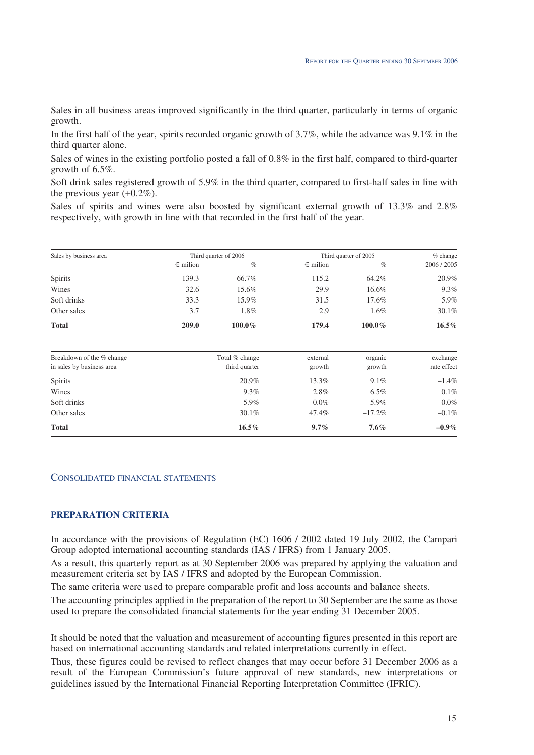Sales in all business areas improved significantly in the third quarter, particularly in terms of organic growth.

In the first half of the year, spirits recorded organic growth of 3.7%, while the advance was 9.1% in the third quarter alone.

Sales of wines in the existing portfolio posted a fall of 0.8% in the first half, compared to third-quarter growth of 6.5%.

Soft drink sales registered growth of 5.9% in the third quarter, compared to first-half sales in line with the previous year  $(+0.2\%)$ .

Sales of spirits and wines were also boosted by significant external growth of 13.3% and 2.8% respectively, with growth in line with that recorded in the first half of the year.

| Sales by business area |                   | Third quarter of 2006 |                   | Third quarter of 2005 |           |
|------------------------|-------------------|-----------------------|-------------------|-----------------------|-----------|
|                        | $\epsilon$ milion | $\%$                  | $\epsilon$ milion | $\%$                  | 2006/2005 |
| <b>Spirits</b>         | 139.3             | 66.7%                 | 115.2             | 64.2%                 | 20.9%     |
| Wines                  | 32.6              | 15.6%                 | 29.9              | 16.6%                 | 9.3%      |
| Soft drinks            | 33.3              | 15.9%                 | 31.5              | 17.6%                 | 5.9%      |
| Other sales            | 3.7               | 1.8%                  | 2.9               | $1.6\%$               | 30.1%     |
| <b>Total</b>           | 209.0             | $100.0\%$             | 179.4             | $100.0\%$             | $16.5\%$  |

|                                                        |                | external |           |             |
|--------------------------------------------------------|----------------|----------|-----------|-------------|
| Breakdown of the % change<br>in sales by business area | Total % change |          | organic   | exchange    |
|                                                        | third quarter  | growth   | growth    | rate effect |
| <b>Spirits</b>                                         | 20.9%          | 13.3%    | $9.1\%$   | $-1.4\%$    |
| Wines                                                  | $9.3\%$        | 2.8%     | $6.5\%$   | $0.1\%$     |
| Soft drinks                                            | 5.9%           | $0.0\%$  | 5.9%      | $0.0\%$     |
| Other sales                                            | $30.1\%$       | 47.4%    | $-17.2\%$ | $-0.1\%$    |
| <b>Total</b>                                           | $16.5\%$       | $9.7\%$  | $7.6\%$   | $-0.9\%$    |

#### CONSOLIDATED FINANCIAL STATEMENTS

# **PREPARATION CRITERIA**

In accordance with the provisions of Regulation (EC) 1606 / 2002 dated 19 July 2002, the Campari Group adopted international accounting standards (IAS / IFRS) from 1 January 2005.

As a result, this quarterly report as at 30 September 2006 was prepared by applying the valuation and measurement criteria set by IAS / IFRS and adopted by the European Commission.

The same criteria were used to prepare comparable profit and loss accounts and balance sheets.

The accounting principles applied in the preparation of the report to 30 September are the same as those used to prepare the consolidated financial statements for the year ending 31 December 2005.

It should be noted that the valuation and measurement of accounting figures presented in this report are based on international accounting standards and related interpretations currently in effect.

Thus, these figures could be revised to reflect changes that may occur before 31 December 2006 as a result of the European Commission's future approval of new standards, new interpretations or guidelines issued by the International Financial Reporting Interpretation Committee (IFRIC).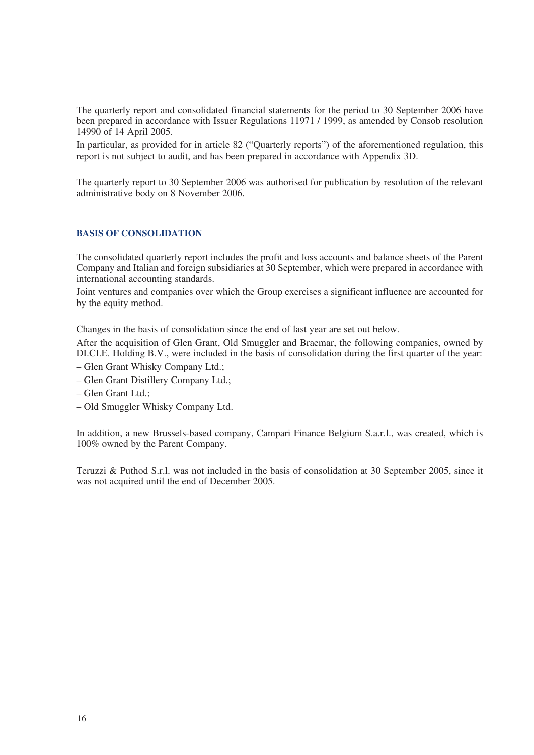The quarterly report and consolidated financial statements for the period to 30 September 2006 have been prepared in accordance with Issuer Regulations 11971 / 1999, as amended by Consob resolution 14990 of 14 April 2005.

In particular, as provided for in article 82 ("Quarterly reports") of the aforementioned regulation, this report is not subject to audit, and has been prepared in accordance with Appendix 3D.

The quarterly report to 30 September 2006 was authorised for publication by resolution of the relevant administrative body on 8 November 2006.

# **BASIS OF CONSOLIDATION**

The consolidated quarterly report includes the profit and loss accounts and balance sheets of the Parent Company and Italian and foreign subsidiaries at 30 September, which were prepared in accordance with international accounting standards.

Joint ventures and companies over which the Group exercises a significant influence are accounted for by the equity method.

Changes in the basis of consolidation since the end of last year are set out below.

After the acquisition of Glen Grant, Old Smuggler and Braemar, the following companies, owned by DI.CI.E. Holding B.V., were included in the basis of consolidation during the first quarter of the year:

- Glen Grant Whisky Company Ltd.;
- Glen Grant Distillery Company Ltd.;
- Glen Grant Ltd.;
- Old Smuggler Whisky Company Ltd.

In addition, a new Brussels-based company, Campari Finance Belgium S.a.r.l., was created, which is 100% owned by the Parent Company.

Teruzzi & Puthod S.r.l. was not included in the basis of consolidation at 30 September 2005, since it was not acquired until the end of December 2005.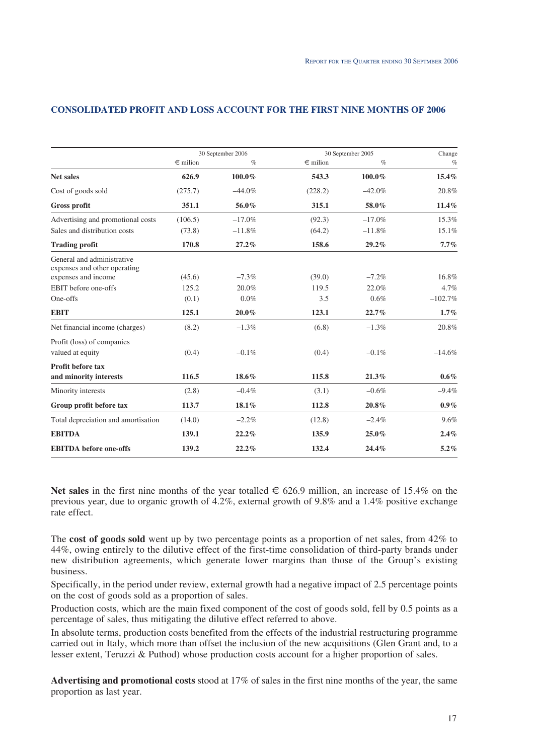|                                                            |              | 30 September 2006 |              | 30 September 2005 | Change    |
|------------------------------------------------------------|--------------|-------------------|--------------|-------------------|-----------|
|                                                            | $\in$ milion | $\%$              | $\in$ milion | $\%$              | $\%$      |
| <b>Net sales</b>                                           | 626.9        | 100.0%            | 543.3        | 100.0%            | $15.4\%$  |
| Cost of goods sold                                         | (275.7)      | $-44.0\%$         | (228.2)      | $-42.0%$          | 20.8%     |
| <b>Gross profit</b>                                        | 351.1        | 56.0%             | 315.1        | 58.0%             | $11.4\%$  |
| Advertising and promotional costs                          | (106.5)      | $-17.0%$          | (92.3)       | $-17.0%$          | 15.3%     |
| Sales and distribution costs                               | (73.8)       | $-11.8%$          | (64.2)       | $-11.8%$          | 15.1%     |
| <b>Trading profit</b>                                      | 170.8        | 27.2%             | 158.6        | $29.2\%$          | $7.7\%$   |
| General and administrative<br>expenses and other operating |              |                   |              |                   |           |
| expenses and income                                        | (45.6)       | $-7.3\%$          | (39.0)       | $-7.2\%$          | 16.8%     |
| EBIT before one-offs                                       | 125.2        | 20.0%             | 119.5        | 22.0%             | 4.7%      |
| One-offs                                                   | (0.1)        | $0.0\%$           | 3.5          | 0.6%              | $-102.7%$ |
| <b>EBIT</b>                                                | 125.1        | $20.0\%$          | 123.1        | 22.7%             | 1.7%      |
| Net financial income (charges)                             | (8.2)        | $-1.3%$           | (6.8)        | $-1.3%$           | 20.8%     |
| Profit (loss) of companies<br>valued at equity             | (0.4)        | $-0.1\%$          | (0.4)        | $-0.1\%$          | $-14.6%$  |
| <b>Profit before tax</b><br>and minority interests         | 116.5        | 18.6%             | 115.8        | 21.3%             | $0.6\%$   |
| Minority interests                                         | (2.8)        | $-0.4%$           | (3.1)        | $-0.6%$           | $-9.4%$   |
| Group profit before tax                                    | 113.7        | $18.1\%$          | 112.8        | $20.8\%$          | $0.9\%$   |
| Total depreciation and amortisation                        | (14.0)       | $-2.2%$           | (12.8)       | $-2.4%$           | 9.6%      |
| <b>EBITDA</b>                                              | 139.1        | 22.2%             | 135.9        | $25.0\%$          | 2.4%      |
| <b>EBITDA</b> before one-offs                              | 139.2        | 22.2%             | 132.4        | 24.4%             | $5.2\%$   |

### **CONSOLIDATED PROFIT AND LOSS ACCOUNT FOR THE FIRST NINE MONTHS OF 2006**

**Net sales** in the first nine months of the year totalled € 626.9 million, an increase of 15.4% on the previous year, due to organic growth of 4.2%, external growth of 9.8% and a 1.4% positive exchange rate effect.

The **cost of goods sold** went up by two percentage points as a proportion of net sales, from 42% to 44%, owing entirely to the dilutive effect of the first-time consolidation of third-party brands under new distribution agreements, which generate lower margins than those of the Group's existing business.

Specifically, in the period under review, external growth had a negative impact of 2.5 percentage points on the cost of goods sold as a proportion of sales.

Production costs, which are the main fixed component of the cost of goods sold, fell by 0.5 points as a percentage of sales, thus mitigating the dilutive effect referred to above.

In absolute terms, production costs benefited from the effects of the industrial restructuring programme carried out in Italy, which more than offset the inclusion of the new acquisitions (Glen Grant and, to a lesser extent, Teruzzi & Puthod) whose production costs account for a higher proportion of sales.

**Advertising and promotional costs** stood at 17% of sales in the first nine months of the year, the same proportion as last year.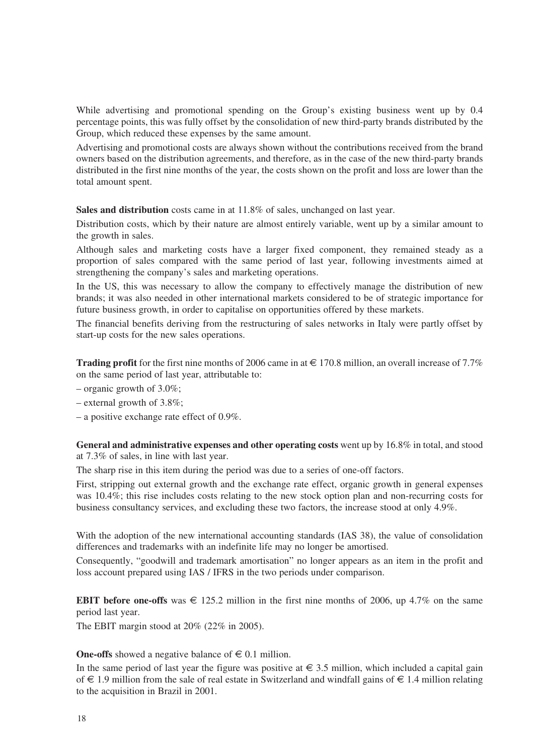While advertising and promotional spending on the Group's existing business went up by 0.4 percentage points, this was fully offset by the consolidation of new third-party brands distributed by the Group, which reduced these expenses by the same amount.

Advertising and promotional costs are always shown without the contributions received from the brand owners based on the distribution agreements, and therefore, as in the case of the new third-party brands distributed in the first nine months of the year, the costs shown on the profit and loss are lower than the total amount spent.

**Sales and distribution** costs came in at 11.8% of sales, unchanged on last year.

Distribution costs, which by their nature are almost entirely variable, went up by a similar amount to the growth in sales.

Although sales and marketing costs have a larger fixed component, they remained steady as a proportion of sales compared with the same period of last year, following investments aimed at strengthening the company's sales and marketing operations.

In the US, this was necessary to allow the company to effectively manage the distribution of new brands; it was also needed in other international markets considered to be of strategic importance for future business growth, in order to capitalise on opportunities offered by these markets.

The financial benefits deriving from the restructuring of sales networks in Italy were partly offset by start-up costs for the new sales operations.

**Trading profit** for the first nine months of 2006 came in at  $\in$  170.8 million, an overall increase of 7.7% on the same period of last year, attributable to:

– organic growth of  $3.0\%$ ;

- external growth of 3.8%;
- a positive exchange rate effect of 0.9%.

**General and administrative expenses and other operating costs** went up by 16.8% in total, and stood at 7.3% of sales, in line with last year.

The sharp rise in this item during the period was due to a series of one-off factors.

First, stripping out external growth and the exchange rate effect, organic growth in general expenses was 10.4%; this rise includes costs relating to the new stock option plan and non-recurring costs for business consultancy services, and excluding these two factors, the increase stood at only 4.9%.

With the adoption of the new international accounting standards (IAS 38), the value of consolidation differences and trademarks with an indefinite life may no longer be amortised.

Consequently, "goodwill and trademark amortisation" no longer appears as an item in the profit and loss account prepared using IAS / IFRS in the two periods under comparison.

**EBIT before one-offs** was  $\epsilon$  125.2 million in the first nine months of 2006, up 4.7% on the same period last year.

The EBIT margin stood at 20% (22% in 2005).

**One-offs** showed a negative balance of  $\in$  0.1 million.

In the same period of last year the figure was positive at  $\epsilon \leq 3.5$  million, which included a capital gain of € 1.9 million from the sale of real estate in Switzerland and windfall gains of € 1.4 million relating to the acquisition in Brazil in 2001.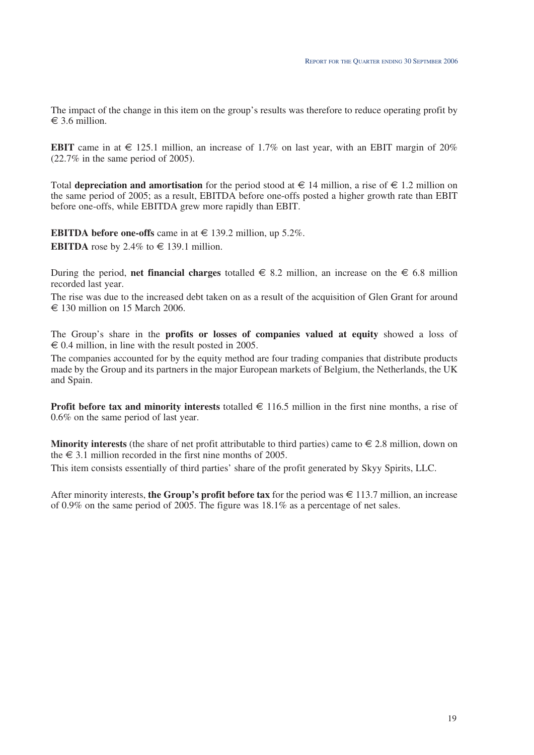The impact of the change in this item on the group's results was therefore to reduce operating profit by  $\epsilon$  3.6 million.

**EBIT** came in at  $\epsilon$  125.1 million, an increase of 1.7% on last year, with an EBIT margin of 20% (22.7% in the same period of 2005).

Total **depreciation and amortisation** for the period stood at  $\in$  14 million, a rise of  $\in$  1.2 million on the same period of 2005; as a result, EBITDA before one-offs posted a higher growth rate than EBIT before one-offs, while EBITDA grew more rapidly than EBIT.

**EBITDA before one-offs** came in at  $\in$  139.2 million, up 5.2%. **EBITDA** rose by 2.4% to  $\in$  139.1 million.

During the period, **net financial charges** totalled  $\in$  8.2 million, an increase on the  $\in$  6.8 million recorded last year.

The rise was due to the increased debt taken on as a result of the acquisition of Glen Grant for around  $\epsilon$  130 million on 15 March 2006.

The Group's share in the **profits or losses of companies valued at equity** showed a loss of  $\epsilon$  0.4 million, in line with the result posted in 2005.

The companies accounted for by the equity method are four trading companies that distribute products made by the Group and its partners in the major European markets of Belgium, the Netherlands, the UK and Spain.

**Profit before tax and minority interests** totalled € 116.5 million in the first nine months, a rise of 0.6% on the same period of last year.

**Minority interests** (the share of net profit attributable to third parties) came to  $\in$  2.8 million, down on the  $\in$  3.1 million recorded in the first nine months of 2005.

This item consists essentially of third parties' share of the profit generated by Skyy Spirits, LLC.

After minority interests, **the Group's profit before tax** for the period was € 113.7 million, an increase of 0.9% on the same period of 2005. The figure was 18.1% as a percentage of net sales.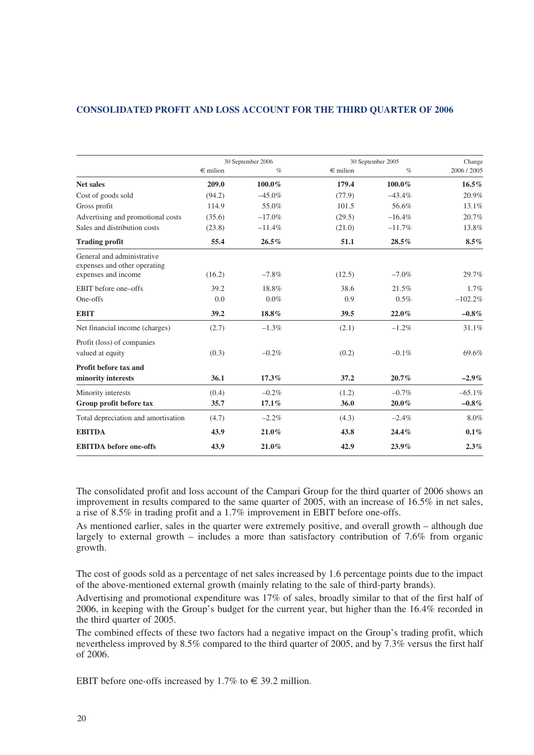# **CONSOLIDATED PROFIT AND LOSS ACCOUNT FOR THE THIRD QUARTER OF 2006**

|                                                            |              | 30 September 2006 |              | 30 September 2005 | Change    |
|------------------------------------------------------------|--------------|-------------------|--------------|-------------------|-----------|
|                                                            | $\in$ milion | $\%$              | $\in$ milion | $\%$              | 2006/2005 |
| <b>Net sales</b>                                           | 209.0        | 100.0%            | 179.4        | 100.0%            | $16.5\%$  |
| Cost of goods sold                                         | (94.2)       | $-45.0\%$         | (77.9)       | $-43.4%$          | 20.9%     |
| Gross profit                                               | 114.9        | 55.0%             | 101.5        | 56.6%             | 13.1%     |
| Advertising and promotional costs                          | (35.6)       | $-17.0%$          | (29.5)       | $-16.4%$          | 20.7%     |
| Sales and distribution costs                               | (23.8)       | $-11.4%$          | (21.0)       | $-11.7%$          | 13.8%     |
| <b>Trading profit</b>                                      | 55.4         | $26.5\%$          | 51.1         | 28.5%             | $8.5\%$   |
| General and administrative<br>expenses and other operating |              |                   |              |                   |           |
| expenses and income                                        | (16.2)       | $-7.8\%$          | (12.5)       | $-7.0\%$          | 29.7%     |
| EBIT before one-offs                                       | 39.2         | 18.8%             | 38.6         | 21.5%             | 1.7%      |
| One-offs                                                   | 0.0          | $0.0\%$           | 0.9          | $0.5\%$           | $-102.2%$ |
| <b>EBIT</b>                                                | 39.2         | 18.8%             | 39.5         | $22.0\%$          | $-0.8\%$  |
| Net financial income (charges)                             | (2.7)        | $-1.3\%$          | (2.1)        | $-1.2%$           | 31.1%     |
| Profit (loss) of companies                                 |              |                   |              |                   |           |
| valued at equity                                           | (0.3)        | $-0.2\%$          | (0.2)        | $-0.1\%$          | 69.6%     |
| Profit before tax and                                      |              |                   |              |                   |           |
| minority interests                                         | 36.1         | 17.3%             | 37.2         | 20.7%             | $-2.9\%$  |
| Minority interests                                         | (0.4)        | $-0.2%$           | (1.2)        | $-0.7\%$          | $-65.1%$  |
| Group profit before tax                                    | 35.7         | $17.1\%$          | 36.0         | $20.0\%$          | $-0.8\%$  |
| Total depreciation and amortisation                        | (4.7)        | $-2.2\%$          | (4.3)        | $-2.4\%$          | 8.0%      |
| <b>EBITDA</b>                                              | 43.9         | $21.0\%$          | 43.8         | 24.4%             | $0.1\%$   |
| <b>EBITDA</b> before one-offs                              | 43.9         | 21.0%             | 42.9         | $23.9\%$          | 2.3%      |

The consolidated profit and loss account of the Campari Group for the third quarter of 2006 shows an improvement in results compared to the same quarter of 2005, with an increase of 16.5% in net sales, a rise of 8.5% in trading profit and a 1.7% improvement in EBIT before one-offs.

As mentioned earlier, sales in the quarter were extremely positive, and overall growth – although due largely to external growth – includes a more than satisfactory contribution of 7.6% from organic growth.

The cost of goods sold as a percentage of net sales increased by 1.6 percentage points due to the impact of the above-mentioned external growth (mainly relating to the sale of third-party brands).

Advertising and promotional expenditure was 17% of sales, broadly similar to that of the first half of 2006, in keeping with the Group's budget for the current year, but higher than the 16.4% recorded in the third quarter of 2005.

The combined effects of these two factors had a negative impact on the Group's trading profit, which nevertheless improved by 8.5% compared to the third quarter of 2005, and by 7.3% versus the first half of 2006.

EBIT before one-offs increased by 1.7% to  $\in$  39.2 million.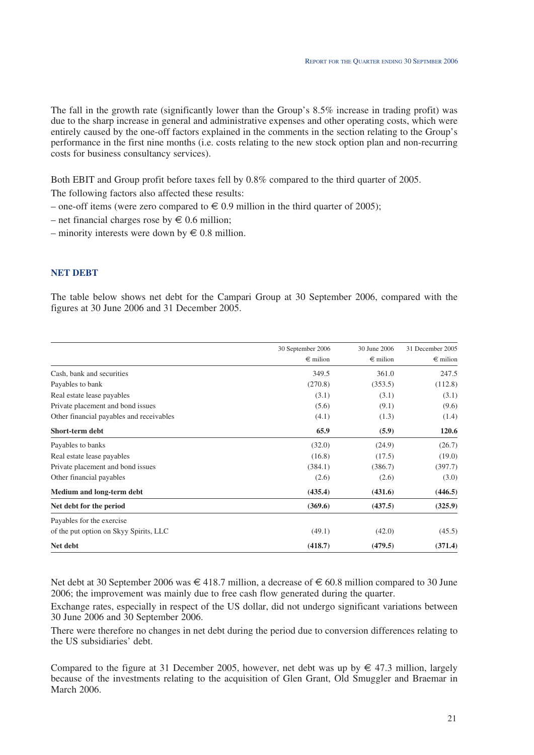The fall in the growth rate (significantly lower than the Group's 8.5% increase in trading profit) was due to the sharp increase in general and administrative expenses and other operating costs, which were entirely caused by the one-off factors explained in the comments in the section relating to the Group's performance in the first nine months (i.e. costs relating to the new stock option plan and non-recurring costs for business consultancy services).

Both EBIT and Group profit before taxes fell by 0.8% compared to the third quarter of 2005.

The following factors also affected these results:

- one-off items (were zero compared to  $\in 0.9$  million in the third quarter of 2005);
- net financial charges rose by  $\epsilon$  0.6 million;
- minority interests were down by  $\in 0.8$  million.

# **NET DEBT**

The table below shows net debt for the Campari Group at 30 September 2006, compared with the figures at 30 June 2006 and 31 December 2005.

|                                          | 30 September 2006 | 30 June 2006      | 31 December 2005  |
|------------------------------------------|-------------------|-------------------|-------------------|
|                                          | $\epsilon$ milion | $\epsilon$ milion | $\epsilon$ milion |
| Cash, bank and securities                | 349.5             | 361.0             | 247.5             |
| Payables to bank                         | (270.8)           | (353.5)           | (112.8)           |
| Real estate lease payables               | (3.1)             | (3.1)             | (3.1)             |
| Private placement and bond issues        | (5.6)             | (9.1)             | (9.6)             |
| Other financial payables and receivables | (4.1)             | (1.3)             | (1.4)             |
| Short-term debt                          | 65.9              | (5.9)             | 120.6             |
| Payables to banks                        | (32.0)            | (24.9)            | (26.7)            |
| Real estate lease payables               | (16.8)            | (17.5)            | (19.0)            |
| Private placement and bond issues        | (384.1)           | (386.7)           | (397.7)           |
| Other financial payables                 | (2.6)             | (2.6)             | (3.0)             |
| Medium and long-term debt                | (435.4)           | (431.6)           | (446.5)           |
| Net debt for the period                  | (369.6)           | (437.5)           | (325.9)           |
| Payables for the exercise                |                   |                   |                   |
| of the put option on Skyy Spirits, LLC   | (49.1)            | (42.0)            | (45.5)            |
| Net debt                                 | (418.7)           | (479.5)           | (371.4)           |

Net debt at 30 September 2006 was  $\in$  418.7 million, a decrease of  $\in$  60.8 million compared to 30 June 2006; the improvement was mainly due to free cash flow generated during the quarter.

Exchange rates, especially in respect of the US dollar, did not undergo significant variations between 30 June 2006 and 30 September 2006.

There were therefore no changes in net debt during the period due to conversion differences relating to the US subsidiaries' debt.

Compared to the figure at 31 December 2005, however, net debt was up by  $\in$  47.3 million, largely because of the investments relating to the acquisition of Glen Grant, Old Smuggler and Braemar in March 2006.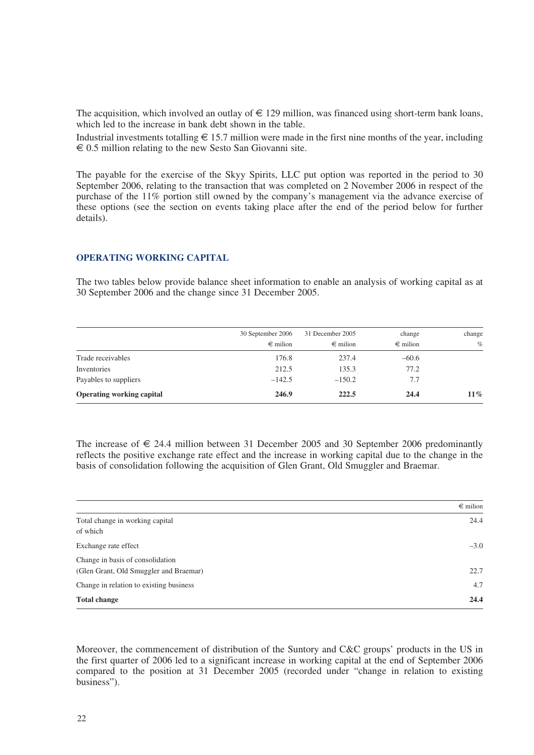The acquisition, which involved an outlay of  $\in$  129 million, was financed using short-term bank loans, which led to the increase in bank debt shown in the table.

Industrial investments totalling  $\epsilon$  15.7 million were made in the first nine months of the year, including  $\epsilon$  0.5 million relating to the new Sesto San Giovanni site.

The payable for the exercise of the Skyy Spirits, LLC put option was reported in the period to 30 September 2006, relating to the transaction that was completed on 2 November 2006 in respect of the purchase of the 11% portion still owned by the company's management via the advance exercise of these options (see the section on events taking place after the end of the period below for further details).

#### **OPERATING WORKING CAPITAL**

The two tables below provide balance sheet information to enable an analysis of working capital as at 30 September 2006 and the change since 31 December 2005.

|                                  | 30 September 2006 | 31 December 2005  | change            | change |
|----------------------------------|-------------------|-------------------|-------------------|--------|
|                                  | $\epsilon$ milion | $\epsilon$ milion | $\epsilon$ milion | $\%$   |
| Trade receivables                | 176.8             | 237.4             | $-60.6$           |        |
| Inventories                      | 212.5             | 135.3             | 77.2              |        |
| Payables to suppliers            | $-142.5$          | $-150.2$          | 7.7               |        |
| <b>Operating working capital</b> | 246.9             | 222.5             | 24.4              | $11\%$ |

The increase of  $\epsilon$  24.4 million between 31 December 2005 and 30 September 2006 predominantly reflects the positive exchange rate effect and the increase in working capital due to the change in the basis of consolidation following the acquisition of Glen Grant, Old Smuggler and Braemar.

|                                         | $\epsilon$ milion |
|-----------------------------------------|-------------------|
| Total change in working capital         | 24.4              |
| of which                                |                   |
| Exchange rate effect                    | $-3.0$            |
| Change in basis of consolidation        |                   |
| (Glen Grant, Old Smuggler and Braemar)  | 22.7              |
| Change in relation to existing business | 4.7               |
| <b>Total change</b>                     | 24.4              |

Moreover, the commencement of distribution of the Suntory and C&C groups' products in the US in the first quarter of 2006 led to a significant increase in working capital at the end of September 2006 compared to the position at 31 December 2005 (recorded under "change in relation to existing business").